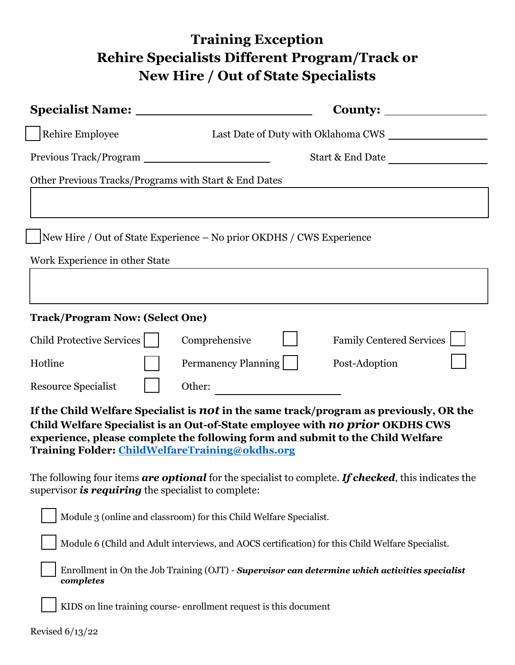## **Training Exception Rehire Specialists Different Program/Track or New Hire / Out of State Specialists**

|                                                                                                                                                                                                                                                                                                             | <b>Specialist Name:</b> __________________________                   |  |  |
|-------------------------------------------------------------------------------------------------------------------------------------------------------------------------------------------------------------------------------------------------------------------------------------------------------------|----------------------------------------------------------------------|--|--|
| <b>Rehire Employee</b>                                                                                                                                                                                                                                                                                      |                                                                      |  |  |
|                                                                                                                                                                                                                                                                                                             | Start & End Date                                                     |  |  |
| Other Previous Tracks/Programs with Start & End Dates                                                                                                                                                                                                                                                       |                                                                      |  |  |
|                                                                                                                                                                                                                                                                                                             |                                                                      |  |  |
|                                                                                                                                                                                                                                                                                                             | New Hire / Out of State Experience – No prior OKDHS / CWS Experience |  |  |
| Work Experience in other State                                                                                                                                                                                                                                                                              |                                                                      |  |  |
|                                                                                                                                                                                                                                                                                                             |                                                                      |  |  |
| <b>Track/Program Now: (Select One)</b>                                                                                                                                                                                                                                                                      |                                                                      |  |  |
| Child Protective Services                                                                                                                                                                                                                                                                                   | Family Centered Services<br>Comprehensive                            |  |  |
| Hotline                                                                                                                                                                                                                                                                                                     | Permanency Planning    <br>Post-Adoption                             |  |  |
| Resource Specialist                                                                                                                                                                                                                                                                                         |                                                                      |  |  |
| If the Child Welfare Specialist is not in the same track/program as previously, OR the<br>Child Welfare Specialist is an Out-of-State employee with no prior OKDHS CWS<br>experience, please complete the following form and submit to the Child Welfare<br>Training Folder: ChildWelfareTraining@okdhs.org |                                                                      |  |  |
| The following four items are optional for the specialist to complete. If checked, this indicates the<br>supervisor <b>is requiring</b> the specialist to complete:                                                                                                                                          |                                                                      |  |  |
|                                                                                                                                                                                                                                                                                                             | Module 3 (online and classroom) for this Child Welfare Specialist.   |  |  |
| Module 6 (Child and Adult interviews, and AOCS certification) for this Child Welfare Specialist.                                                                                                                                                                                                            |                                                                      |  |  |
| Enrollment in On the Job Training $(OJT)$ - Supervisor can determine which activities specialist<br>completes                                                                                                                                                                                               |                                                                      |  |  |
|                                                                                                                                                                                                                                                                                                             | KIDS on line training course-enrollment request is this document     |  |  |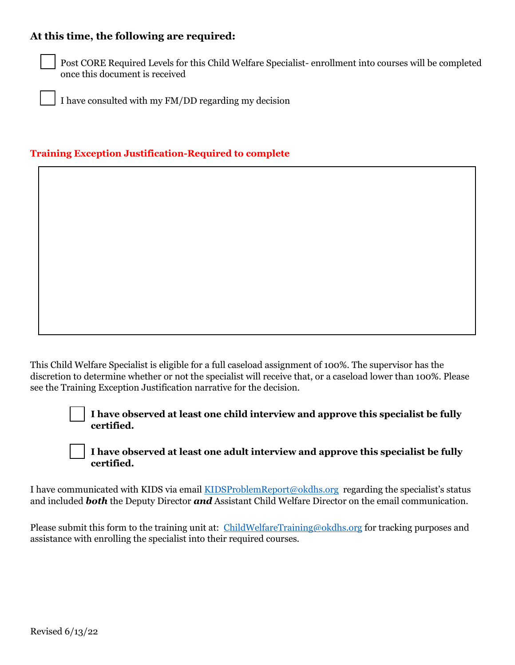## **At this time, the following are required:**



Post CORE Required Levels for this Child Welfare Specialist- enrollment into courses will be completed once this document is received

I have consulted with my FM/DD regarding my decision

## **Training Exception Justification-Required to complete**

This Child Welfare Specialist is eligible for a full caseload assignment of 100%. The supervisor has the discretion to determine whether or not the specialist will receive that, or a caseload lower than 100%. Please see the Training Exception Justification narrative for the decision.

> **I have observed at least one child interview and approve this specialist be fully certified.**

**I have observed at least one adult interview and approve this specialist be fully certified.** 

I have communicated with KIDS via email [KIDSProblemReport@okdhs.org](mailto:KIDSProblemReport@okdhs.org) regarding the specialist's status and included *both* the Deputy Director *and* Assistant Child Welfare Director on the email communication.

Please submit this form to the training unit at: [ChildWelfareTraining@okdhs.org](mailto:ChildWelfareTraining@okdhs.org) for tracking purposes and assistance with enrolling the specialist into their required courses.